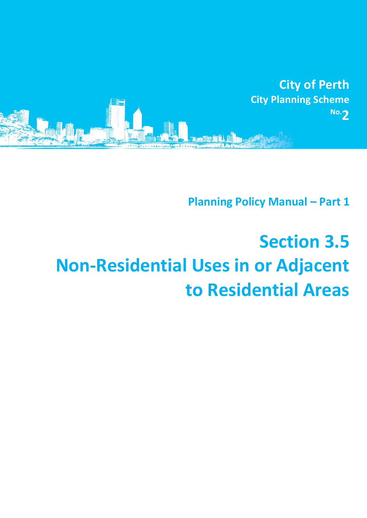

**Planning Policy Manual - Part 1** 

## **Section 3.5 Non-Residential Uses in or Adjacent to Residential Areas**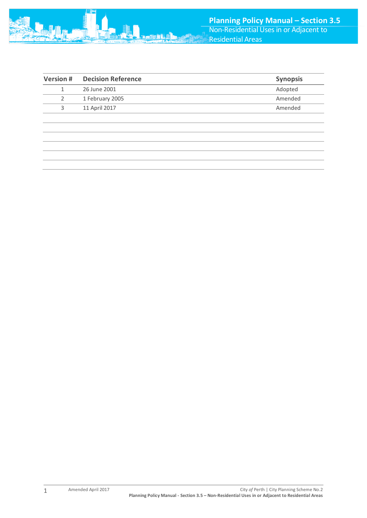

| <b>Version #</b> | <b>Decision Reference</b> | <b>Synopsis</b> |
|------------------|---------------------------|-----------------|
|                  | 26 June 2001              | Adopted         |
| 2                | 1 February 2005           | Amended         |
| 3                | 11 April 2017             | Amended         |
|                  |                           |                 |